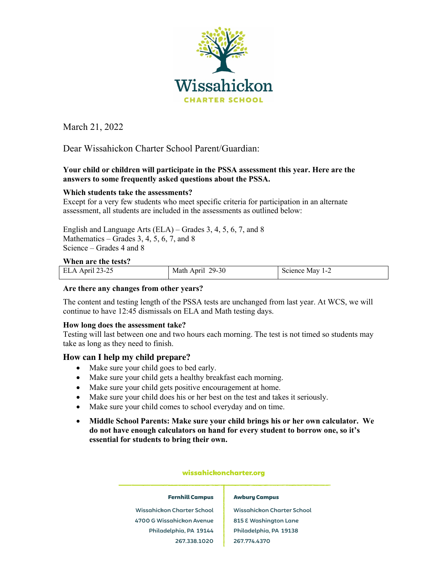

March 21, 2022 March 2012 March 22, 2022 March 22, 2022

Dear Wissahickon Charter School Parent/Guardian:

# **Your child or children will participate in the PSSA assessment this year. Here are the answers to some frequently asked questions about the PSSA.**

# **Which students take the assessments?**

Except for a very few students who meet specific criteria for participation in an alternate assessment, all students are included in the assessments as outlined below:

English and Language Arts (ELA) – Grades 3, 4, 5, 6, 7, and 8 Mathematics – Grades  $3, 4, 5, 6, 7$ , and  $8$ Science – Grades 4 and 8

## **When are the tests?**

| was the contracted the contract of the contract of the contract of the contract of the contract of the contract of the contract of the contract of the contract of the contract of the contract of the contract of the contrac |                  |             |
|--------------------------------------------------------------------------------------------------------------------------------------------------------------------------------------------------------------------------------|------------------|-------------|
| ELA April 23-25                                                                                                                                                                                                                | Math April 29-30 | Science May |

## **Are there any changes from other years?**

The content and testing length of the PSSA tests are unchanged from last year. At WCS, we will continue to have 12:45 dismissals on ELA and Math testing days.

## **How long does the assessment take?**

Testing will last between one and two hours each morning. The test is not timed so students may take as long as they need to finish.

# **How can I help my child prepare?**

- Make sure your child goes to bed early.
- Make sure your child gets a healthy breakfast each morning.
- Make sure your child gets positive encouragement at home.
- Make sure your child does his or her best on the test and takes it seriously.
- Make sure your child comes to school everyday and on time.
- **Middle School Parents: Make sure your child brings his or her own calculator. We do not have enough calculators on hand for every student to borrow one, so it's essential for students to bring their own.**

## wissahickoncharter.org

#### Fernhill Campus

#### Awbury Campus

**Wissahickon Charter School 4700 G Wissahickon Avenue Philadelphia, PA 19144 267.338.1020**

**Wissahickon Charter School 815 E Washington Lane Philadelphia, PA 19138 267.774.4370**